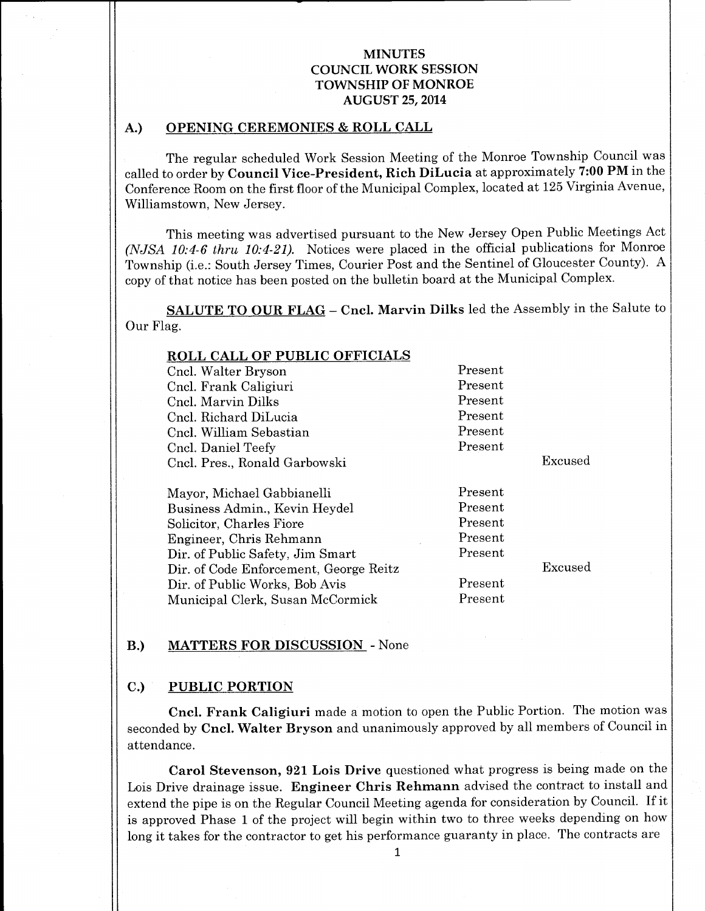### A.) OPENING CEREMONIES & ROLL CALL

The regular scheduled Work Session Meeting of the Monroe Township Council was called to order by Council Vice-President, Rich DiLucia at approximately 7:00 PM in the Conference Room on the first floor of the Municipal Complex, located at 125 Virginia Avenue, Williamstown, New Jersey.

This meeting was advertised pursuant to the New Jersey Open Public Meetings Act (NJSA  $10:4-6$  thru  $10:4-21$ ). Notices were placed in the official publications for Monroe Township (i.e.: South Jersey Times, Courier Post and the Sentinel of Gloucester County). A copy of that notice has been posted on the bulletin board at the Municipal Complex.

SALUTE TO OUR FLAG - Cncl. Marvin Dilks led the Assembly in the Salute to Our Flag.

| Present |         |
|---------|---------|
| Present |         |
| Present |         |
| Present |         |
| Present |         |
| Present |         |
|         | Excused |
|         |         |
| Present |         |
| Present |         |
| Present |         |
| Present |         |
| Present |         |
|         | Excused |
| Present |         |
| Present |         |
|         |         |

#### B.) MATTERS FOR DISCUSSION - None

#### C.) PUBLIC PORTION

Cncl. Frank Caligiuri made <sup>a</sup> motion to open the Public Portion. The motion was seconded by Cncl. Walter Bryson and unanimously approved by all members of Council in attendance.

Carol Stevenson, 921 Lois Drive questioned what progress is being made on the Lois Drive drainage issue. Engineer Chris Rehmann advised the contract to install and extend the pipe is on the Regular Council Meeting agenda for consideration by Council. If it is approved Phase <sup>1</sup> of the project will begin within two to three weeks depending on how long it takes for the contractor to get his performance guaranty in place. The contracts are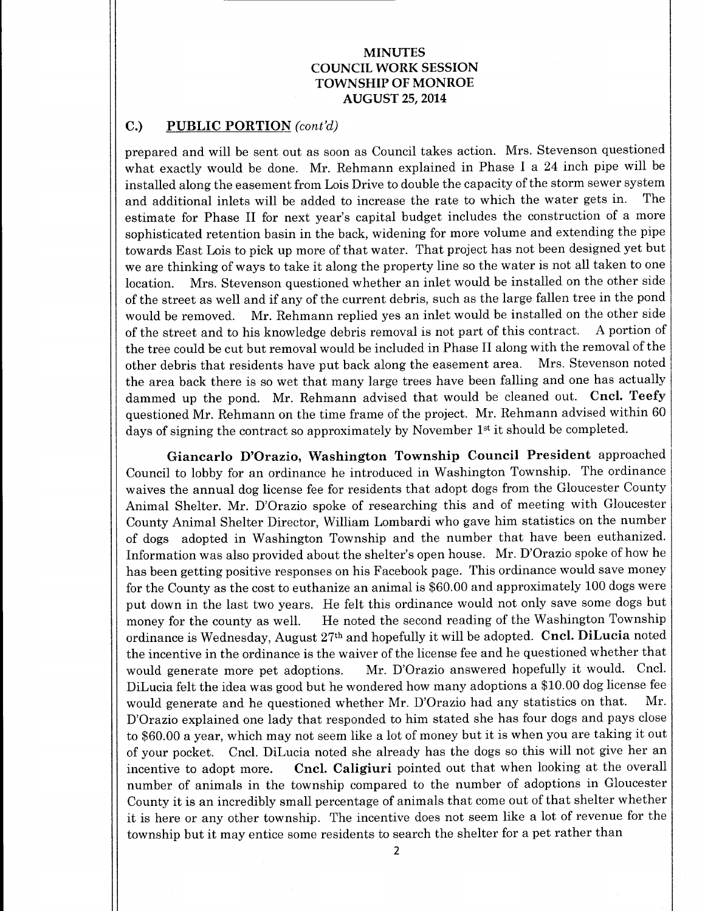### C.) PUBLIC PORTION (cont'd)

prepared and will be sent out as soon as Council takes action. Mrs. Stevenson questioned what exactly would be done. Mr. Rehmann explained in Phase I <sup>a</sup> <sup>24</sup> inch pipe will be installed along the easement from Lois Drive to double the capacity of the storm sewer system<br>and additional inlets will be added to increase the rate to which the water gets in. The and additional inlets will be added to increase the rate to which the water gets in. estimate for Phase II for next year's capital budget includes the construction of <sup>a</sup> more sophisticated retention basin in the back, widening for more volume and extending the pipe towards East Lois to pick up more of that water. That project has not been designed yet but we are thinking of ways to take it along the property line so the water is not all taken to one location. Mrs. Stevenson questioned whether an inlet would be installed on the other side of the street as well and if any of the current debris, such as the large fallen tree in the pond would be removed. Mr. Rehmann replied yes an inlet would be installed on the other side of the street and to his knowledge debris removal is not part of this contract. A portion of the tree could be cut but removal would be included in Phase II along with the removal of the other debris that residents have put back along the easement area. Mrs. Stevenson noted the area back there is so wet that many large trees have been falling and one has actually dammed up the pond. Mr. Rehmann advised that would be cleaned out. Cncl. Teefy questioned Mr. Rehmann on the time frame of the project. Mr. Rehmann advised within 60 days of signing the contract so approximately by November 1<sup>st</sup> it should be completed.

Giancarlo D'Orazio, Washington Township Council President approached Council to lobby for an ordinance he introduced in Washington Township. The ordinance waives the annual dog license fee for residents that adopt dogs from the Gloucester County Animal Shelter. Mr. D'Orazio spoke of researching this and of meeting with Gloucester County Animal Shelter Director, William Lombardi who gave him statistics on the number of dogs adopted in Washington Township and the number that have been euthanized. Information was also provided about the shelter'<sup>s</sup> open house. Mr. D'Orazio spoke of how he has been getting positive responses on his Facebook page. This ordinance would save money for the County as the cost to euthanize an animal is \$60. 00 and approximately 100 dogs were put down in the last two years. He felt this ordinance would not only save some dogs but money for the county as well. He noted the second reading of the Washington Township ordinance is Wednesday, August  $27<sup>th</sup>$  and hopefully it will be adopted. Cncl. DiLucia noted the incentive in the ordinance is the waiver of the license fee and he questioned whether that would generate more pet adoptions. Mr. D'Orazio answered hopefully it would. Cncl. DiLucia felt the idea was good but he wondered how many adoptions a \$10.00 dog license fee would generate and he questioned whether Mr. D'Orazio had any statistics on that. Mr. D'Orazio explained one lady that responded to him stated she has four dogs and pays close to \$60.00 <sup>a</sup> year, which may not seem like <sup>a</sup> lot of money but it is when you are taking it out of your pocket. Cncl. DiLucia noted she already has the dogs so this will not give her an incentive to adopt more. Cncl. Caligiuri pointed out that when looking at the overall number of animals in the township compared to the number of adoptions in Gloucester County it is an incredibly small percentage of animals that come out of that shelter whether it is here or any other township. The incentive does not seem like <sup>a</sup> lot of revenue for the township but it may entice some residents to search the shelter for <sup>a</sup> pet rather than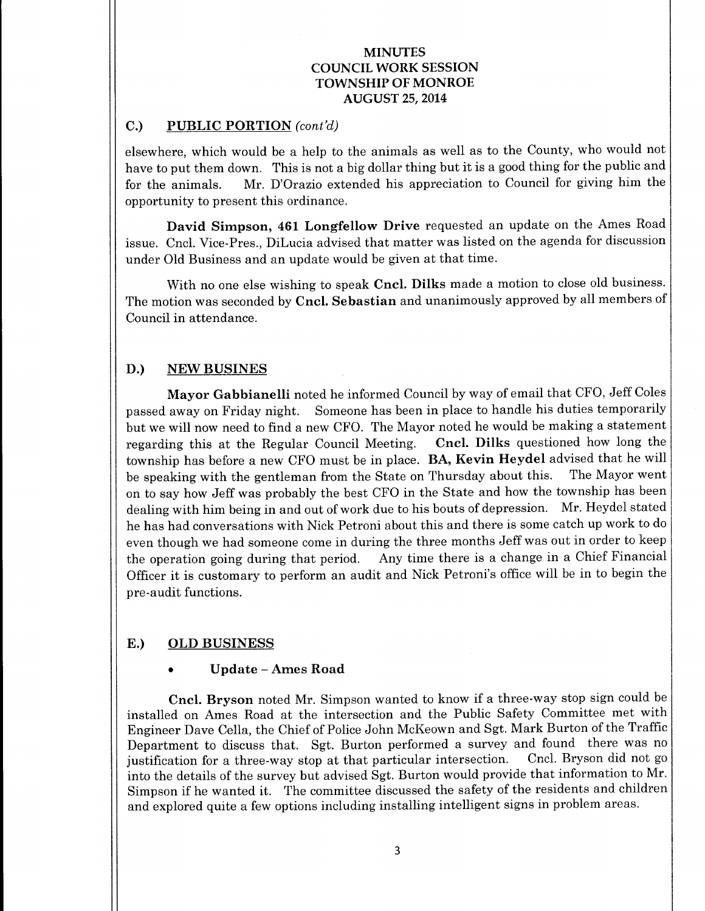# C.) PUBLIC PORTION  $(cont'd)$

elsewhere, which would be a help to the animals as well as to the County, who would not have to put them down. This is not <sup>a</sup> big dollar thing but it is <sup>a</sup> good thing for the public and for the animals. Mr. D'Orazio extended his appreciation to Council for giving him the opportunity to present this ordinance.

David Simpson, 461 Longfellow Drive requested an update on the Ames Road issue. Cncl. Vice-Pres., DiLucia advised that matter was listed on the agenda for discussion under Old Business and an update would be given at that time.

With no one else wishing to speak Cncl. Dilks made a motion to close old business. The motion was seconded by Cncl. Sebastian and unanimously approved by all members of Council in attendance.

# D.) NEW BUSINES

Mayor Gabbianelli noted he informed Council by way of email that CFO, Jeff Coles passed away on Friday night. Someone has been in place to handle his duties temporarily but we will now need to find a new CFO. The Mayor noted he would be making a statement regarding this at the Regular Council Meeting. Cncl. Dilks questioned how long the township has before a new CFO must be in place. **BA, Kevin Heydel** advised that he will<br>be speaking with the gentleman from the State on Thursday about this. The Mayor went be speaking with the gentleman from the State on Thursday about this. on to say how Jeff was probably the best CFO in the State and how the township has been dealing with him being in and out of work due to his bouts of depression. Mr. Heydel stated he has had conversations with Nick Petroni about this and there is some catch up work to do even though we had someone come in during the three months Jeff was out in order to keep the operation going during that period. Any time there is <sup>a</sup> change in <sup>a</sup> Chief Financial Officer it is customary to perform an audit and Nick Petroni's office will be in to begin the pre-audit functions.

# E.) OLD BUSINESS

# Update —Ames Road

Cncl. Bryson noted Mr. Simpson wanted to know if <sup>a</sup> three-way stop sign could be installed on Ames Road at the intersection and the Public Safety Committee met with Engineer Dave Cella, the Chief of Police John McKeown and Sgt. Mark Burton of the Traffic Department to discuss that. Sgt. Burton performed a survey and found there was no institution for a three-way stop at that particular intersection. Cncl. Bryson did not go justification for a three-way stop at that particular intersection. into the details of the survey but advised Sgt. Burton would provide that information to Mr. Simpson if he wanted it. The committee discussed the safety of the residents and children and explored quite a few options including installing intelligent signs in problem areas.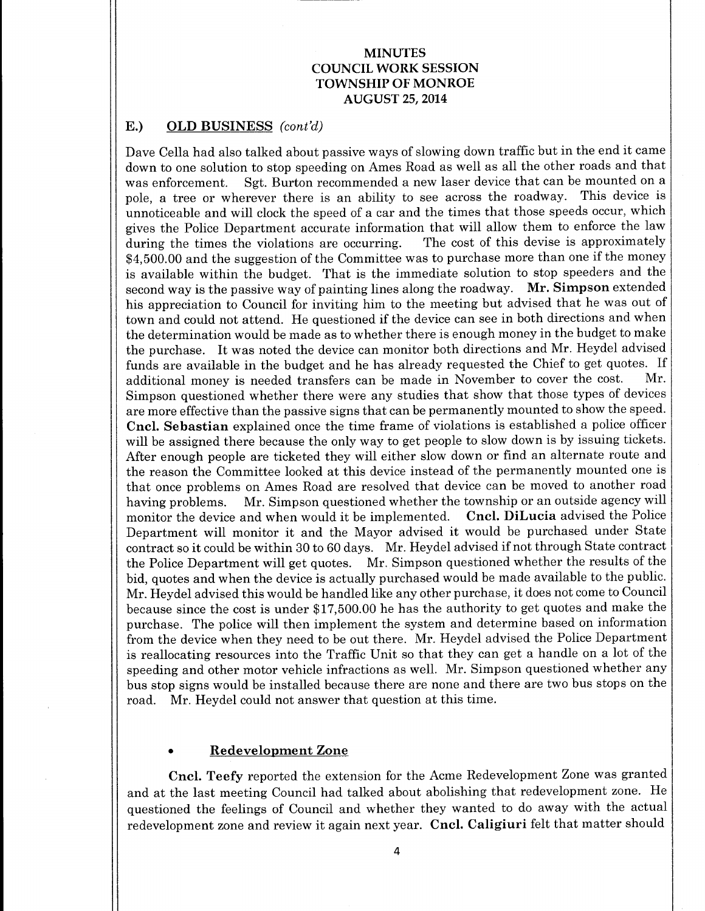### E.) OLD BUSINESS (cont'd)

Dave Cella had also talked about passive ways of slowing down traffic but in the end it came down to one solution to stop speeding on Ames Road as well as all the other roads and that was enforcement. Sgt. Burton recommended a new laser device that can be mounted on a pole, a tree or wherever there is an ability to see across the roadway. This device is unnoticeable and will clock the speed of a car and the times that those speeds occur, which gives the Police Department accurate information that will allow them to enforce the law during the times the violations are occurring. The cost of this devise is approximately during the times the violations are occurring. 4, 500.00 and the suggestion of the Committee was to purchase more than one if the money is available within the budget. That is the immediate solution to stop speeders and the second way is the passive way of painting lines along the roadway. Mr. Simpson extended his appreciation to Council for inviting him to the meeting but advised that he was out of town and could not attend. He questioned if the device can see in both directions and when the determination would be made as to whether there is enough money in the budget to make the purchase. It was noted the device can monitor both directions and Mr. Heydel advised funds are available in the budget and he has already requested the Chief to get quotes. If<br>additional money is needed transfers can be made in November to cover the cost. Mr. additional money is needed transfers can be made in November to cover the cost. Simpson questioned whether there were any studies that show that those types of devices are more effective than the passive signs that can be permanently mounted to show the speed. Cncl. Sebastian explained once the time frame of violations is established <sup>a</sup> police officer will be assigned there because the only way to get people to slow down is by issuing tickets. After enough people are ticketed they will either slow down or find an alternate route and the reason the Committee looked at this device instead of the permanently mounted one is that once problems on Ames Road are resolved that device can be moved to another road having problems. Mr. Simpson questioned whether the township or an outside agency will monitor the device and when would it be implemented. Cncl. DiLucia advised the Police Department will monitor it and the Mayor advised it would be purchased under State contract so it could be within <sup>30</sup> to <sup>60</sup> days. Mr. Heydel advised if not through State contract the Police Department will get quotes. Mr. Simpson questioned whether the results of the bid, quotes and when the device is actually purchased would be made available to the public. Mr. Heydel advised this would be handled like any other purchase, it does not come to Council because since the cost is under \$17,500.00 he has the authority to get quotes and make the purchase. The police will then implement the system and determine based on information from the device when they need to be out there. Mr. Heydel advised the Police Department is reallocating resources into the Traffic Unit so that they can get <sup>a</sup> handle on <sup>a</sup> lot of the speeding and other motor vehicle infractions as well. Mr. Simpson questioned whether any bus stop signs would be installed because there are none and there are two bus stops on the road. Mr. Heydel could not answer that question at this time.

#### Redevelopment Zone

Cncl. Teefy reported the extension for the Acme Redevelopment Zone was granted and at the last meeting Council had talked about abolishing that redevelopment zone. He questioned the feelings of Council and whether they wanted to do away with the actual redevelopment zone and review it again next year. Cncl. Caligiuri felt that matter should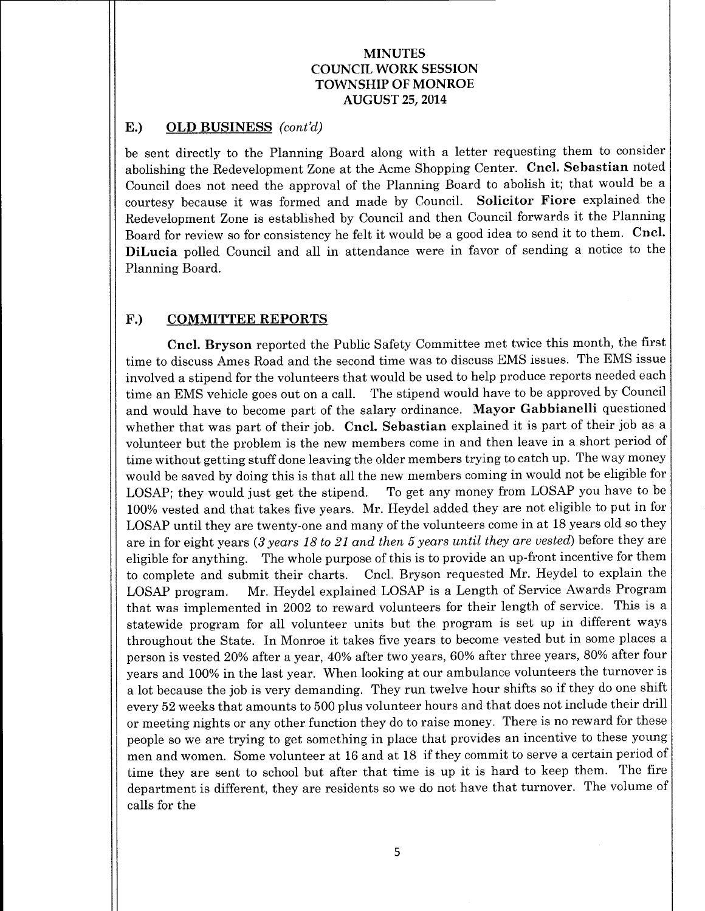# E.) OLD BUSINESS  $(cont'd)$

be sent directly to the Planning Board along with a letter requesting them to consider abolishing the Redevelopment Zone at the Acme Shopping Center. Cncl. Sebastian noted Council does not need the approval of the Planning Board to abolish it; that would be <sup>a</sup> courtesy because it was formed and made by Council. Solicitor Fiore explained the Redevelopment Zone is established by Council and then Council forwards it the Planning Board for review so for consistency he felt it would be <sup>a</sup> good idea to send it to them. Cncl. DiLucia polled Council and all in attendance were in favor of sending a notice to the Planning Board.

# F.) COMMITTEE REPORTS

Cncl. Bryson reported the Public Safety Committee met twice this month, the first time to discuss Ames Road and the second time was to discuss EMS issues. The EMS issue involved a stipend for the volunteers that would be used to help produce reports needed each time an EMS vehicle goes out on a call. The stipend would have to be approved by Council and would have to become part of the salary ordinance. Mayor Gabbianelli questioned whether that was part of their job. Cncl. Sebastian explained it is part of their job as <sup>a</sup> volunteer but the problem is the new members come in and then leave in a short period of time without getting stuff done leaving the older members trying to catch up. The way money would be saved by doing this is that all the new members coming in would not be eligible for LOSAP; they would just get the stipend. To get any money from LOSAP you have to be 100% vested and that takes five years. Mr. Heydel added they are not eligible to put in for LOSAP until they are twenty-one and many of the volunteers come in at 18 years old so they are in for eight years (3 years 18 to 21 and then 5 years until they are vested) before they are eligible for anything. The whole purpose of this is to provide an up-front incentive for them to complete and submit their charts. Cncl. Bryson requested Mr. Heydel to explain the LOSAP program. Mr. Heydel explained LOSAP is a Length of Service Awards Program that was implemented in 2002 to reward volunteers for their length of service. This is <sup>a</sup> statewide program for all volunteer units but the program is set up in different ways throughout the State. In Monroe it takes five years to become vested but in some places <sup>a</sup> person is vested 20% after <sup>a</sup> year, 40% after two years, 60% after three years, 80% after four years and 100% in the last year. When looking at our ambulance volunteers the turnover is <sup>a</sup> lot because the job is very demanding. They run twelve hour shifts so if they do one shift every 52 weeks that amounts to 500 plus volunteer hours and that does not include their drill or meeting nights or any other function they do to raise money. There is no reward for these people so we are trying to get something in place that provides an incentive to these young men and women. Some volunteer at <sup>16</sup> and at <sup>18</sup> if they commit to serve <sup>a</sup> certain period of time they are sent to school but after that time is up it is hard to keep them. The fire department is different, they are residents so we do not have that turnover. The volume of calls for the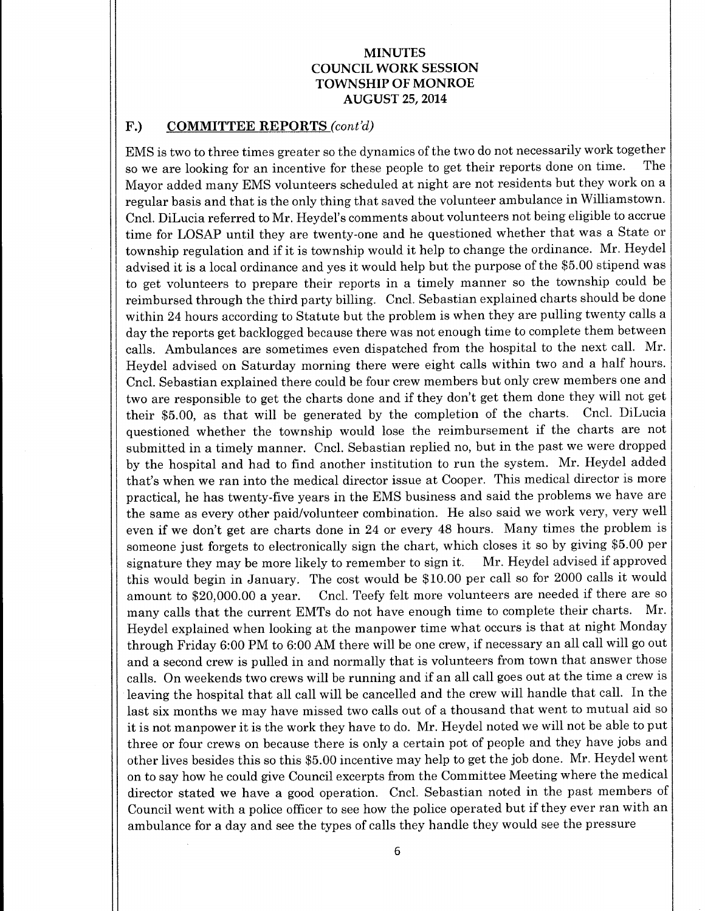### F.) COMMITTEE REPORTS (cont'd)

EMS is two to three times greater so the dynamics of the two do not necessarily work together so we are looking for an incentive for these people to get their reports done on time. The Mayor added many EMS volunteers scheduled at night are not residents but they work on a regular basis and that is the only thing that saved the volunteer ambulance in Williamstown. Cncl. DiLucia referred to Mr. Heydel's comments about volunteers not being eligible to accrue time for LOSAP until they are twenty-one and he questioned whether that was <sup>a</sup> State or township regulation and if it is township would it help to change the ordinance. Mr. Heydel advised it is a local ordinance and yes it would help but the purpose of the \$5.00 stipend was to get volunteers to prepare their reports in a timely manner so the township could be reimbursed through the third party billing. Cncl. Sebastian explained charts should be done within 24 hours according to Statute but the problem is when they are pulling twenty calls a day the reports get backlogged because there was not enough time to complete them between calls. Ambulances are sometimes even dispatched from the hospital to the next call. Mr. Heydel advised on Saturday morning there were eight calls within two and a half hours. Cncl. Sebastian explained there could be four crew members but only crew members one and two are responsible to get the charts done and if they don't get them done they will not get their \$5.00, as that will be generated by the completion of the charts. Cncl. DiLucia questioned whether the township would lose the reimbursement if the charts are not submitted in <sup>a</sup> timely manner. Cncl. Sebastian replied no, but in the past we were dropped by the hospital and had to find another institution to run the system. Mr. Heydel added that'<sup>s</sup> when we ran into the medical director issue at Cooper. This medical director is more practical, he has twenty-five years in the EMS business and said the problems we have are the same as every other paid/volunteer combination. He also said we work very, very well even if we don't get are charts done in <sup>24</sup> or every <sup>48</sup> hours. Many times the problem is someone just forgets to electronically sign the chart, which closes it so by giving \$5.00 per<br>signature they may be more likely to remember to sign it. Mr. Heydel advised if approved signature they may be more likely to remember to sign it. this would begin in January. The cost would be \$10.00 per call so for 2000 calls it would amount to \$20,000.00 a year. Cncl. Teefy felt more volunteers are needed if there are so many calls that the current EMTs do not have enough time to complete their charts. Mr. Heydel explained when looking at the manpower time what occurs is that at night Monday through Friday 6:00 PM to 6:00 AM there will be one crew, if necessary an all call will go out and a second crew is pulled in and normally that is volunteers from town that answer those calls. On weekends two crews will be running and if an all call goes out at the time <sup>a</sup> crew is leaving the hospital that all call will be cancelled and the crew will handle that call. In the last six months we may have missed two calls out of a thousand that went to mutual aid so it is not manpower it is the work they have to do. Mr. Heydel noted we will not be able to put three or four crews on because there is only a certain pot of people and they have jobs and other lives besides this so this \$5. 00 incentive may help to get the job done. Mr. Heydel went on to say how he could give Council excerpts from the Committee Meeting where the medical director stated we have <sup>a</sup> good operation. Cncl. Sebastian noted in the past members of Council went with <sup>a</sup> police officer to see how the police operated but if they ever ran with an ambulance for a day and see the types of calls they handle they would see the pressure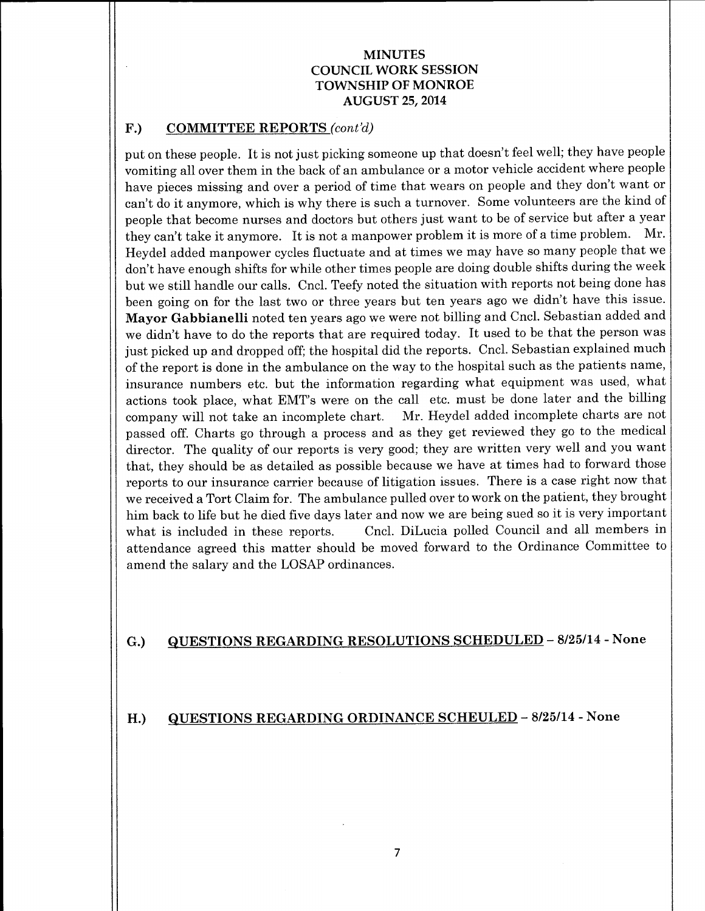# F.) COMMITTEE REPORTS (cont'd)

put on these people. It is not just picking someone up that doesn't feel well; they have people vomiting all over them in the back of an ambulance or a motor vehicle accident where people have pieces missing and over <sup>a</sup> period of time that wears on people and they don't want or can't do it anymore, which is why there is such <sup>a</sup> turnover. Some volunteers are the kind of people that become nurses and doctors but others just want to be of service but after a year they can't take it anymore. It is not <sup>a</sup> manpower problem it is more of <sup>a</sup> time problem. Mr. Heydel added manpower cycles fluctuate and at times we may have so many people that we don't have enough shifts for while other times people are doing double shifts during the week but we still handle our calls. Cncl. Teefy noted the situation with reports not being done has been going on for the last two or three years but ten years ago we didn't have this issue. Mayor Gabbianelli noted ten years ago we were not billing and Cncl. Sebastian added and we didn't have to do the reports that are required today. It used to be that the person was just picked up and dropped off; the hospital did the reports. Cncl. Sebastian explained much of the report is done in the ambulance on the way to the hospital such as the patients name, insurance numbers etc. but the information regarding what equipment was used, what actions took place, what EMT's were on the call etc. must be done later and the billing company will not take an incomplete chart. Mr. Heydel added incomplete charts are not passed off. Charts go through a process and as they get reviewed they go to the medical director. The quality of our reports is very good; they are written very well and you want that, they should be as detailed as possible because we have at times had to forward those reports to our insurance carrier because of litigation issues. There is <sup>a</sup> case right now that we received a Tort Claim for. The ambulance pulled over to work on the patient, they brought him back to life but he died five days later and now we are being sued so it is very important what is included in these reports. Cncl. DiLucia polled Council and all members in attendance agreed this matter should be moved forward to the Ordinance Committee to amend the salary and the LOSAP ordinances.

# G.) QUESTIONS REGARDING RESOLUTIONS SCHEDULED - 8/25/14 - None

#### H.) QUESTIONS REGARDING ORDINANCE SCHEULED – 8/25/14 - None